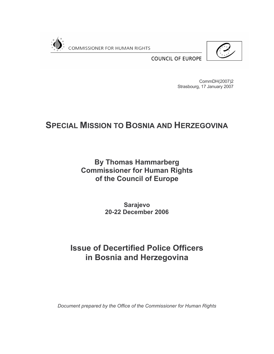

**COUNCIL OF EUROPE** 

CommDH(2007)2 Strasbourg, 17 January 2007

# **SPECIAL MISSION TO BOSNIA AND HERZEGOVINA**

**By Thomas Hammarberg Commissioner for Human Rights** of the Council of Europe

> **Sarajevo 20-22 December 2006**

# **Issue of Decertified Police Officers** in Bosnia and Herzegovina

Document prepared by the Office of the Commissioner for Human Rights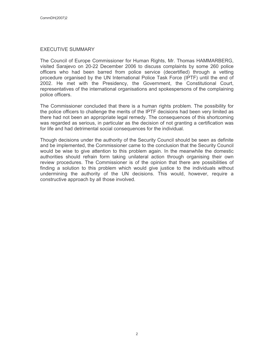#### **EXECUTIVE SUMMARY**

The Council of Europe Commissioner for Human Rights, Mr. Thomas HAMMARBERG, visited Sarajevo on 20-22 December 2006 to discuss complaints by some 260 police officers who had been barred from police service (decertified) through a vetting procedure organised by the UN International Police Task Force (IPTF) until the end of 2002. He met with the Presidency, the Government, the Constitutional Court, representatives of the international organisations and spokespersons of the complaining police officers.

The Commissioner concluded that there is a human rights problem. The possibility for the police officers to challenge the merits of the IPTF decisions had been very limited as there had not been an appropriate legal remedy. The consequences of this shortcoming was regarded as serious, in particular as the decision of not granting a certification was for life and had detrimental social consequences for the individual.

Though decisions under the authority of the Security Council should be seen as definite and be implemented, the Commissioner came to the conclusion that the Security Council would be wise to give attention to this problem again. In the meanwhile the domestic authorities should refrain form taking unilateral action through organising their own review procedures. The Commissioner is of the opinion that there are possibilities of finding a solution to this problem which would give justice to the individuals without undermining the authority of the UN decisions. This would, however, require a constructive approach by all those involved.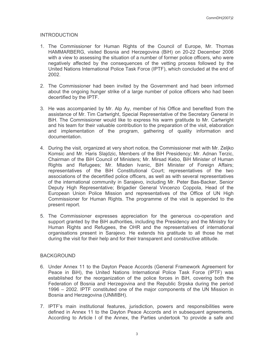## **INTRODUCTION**

- 1. The Commissioner for Human Rights of the Council of Europe, Mr. Thomas HAMMARBERG, visited Bosnia and Herzegovina (BiH) on 20-22 December 2006 with a view to assessing the situation of a number of former police officers, who were negatively affected by the consequences of the vetting process followed by the United Nations International Police Task Force (IPTF), which concluded at the end of 2002.
- 2. The Commissioner had been invited by the Government and had been informed about the ongoing hunger strike of a large number of police officers who had been decertified by the IPTF.
- 3. He was accompanied by Mr. Alp Ay, member of his Office and benefited from the assistance of Mr. Tim Cartwright, Special Representative of the Secretary General in BiH. The Commissioner would like to express his warm gratitude to Mr. Cartwright and his team for their valuable contribution to the preparation of the visit, elaboration and implementation of the program, gathering of guality information and documentation.
- 4. During the visit, organized at very short notice, the Commissioner met with Mr. Zeljko Komsic and Mr. Haris Slajdzic, Members of the BiH Presidency; Mr. Adnan Terzic, Chairman of the BiH Council of Ministers; Mr. Mirsad Kebo, BiH Minister of Human Rights and Refugees; Mr. Mladen Ivanic, BiH Minister of Foreign Affairs; representatives of the BiH Constitutional Court; representatives of the two associations of the decertified police officers, as well as with several representatives of the international community in Sarajevo, including Mr. Peter Bas-Backer, Senior Deputy High Representative; Brigadier General Vincenzo Coppola, Head of the European Union Police Mission and representatives of the Office of UN High Commissioner for Human Rights. The programme of the visit is appended to the present report.
- 5. The Commissioner expresses appreciation for the generous co-operation and support granted by the BiH authorities, including the Presidency and the Ministry for Human Rights and Refugees, the OHR and the representatives of international organisations present in Sarajevo. He extends his gratitude to all those he met during the visit for their help and for their transparent and constructive attitude.

#### **BACKGROUND**

- 6. Under Annex 11 to the Dayton Peace Accords (General Framework Agreement for Peace in BiH), the United Nations International Police Task Force (IPTF) was established for the reorganization of the police forces in BiH, covering both the Federation of Bosnia and Herzegovina and the Republic Srpska during the period 1996 – 2002. IPTF constituted one of the major components of the UN Mission in Bosnia and Herzegovina (UNMIBH).
- 7. IPTF's main institutional features, jurisdiction, powers and responsibilities were defined in Annex 11 to the Dayton Peace Accords and in subsequent agreements. According to Article I of the Annex, the Parties undertook "to provide a safe and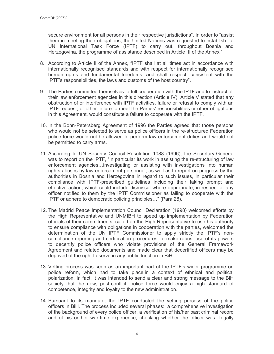secure environment for all persons in their respective jurisdictions". In order to "assist them in meeting their obligations, the United Nations was requested to establish...a UN International Task Force (IPTF) to carry out, throughout Bosnia and Herzegovina, the programme of assistance described in Article III of the Annex."

- 8. According to Article II of the Annex, "IPTF shall at all times act in accordance with internationally recognised standards and with respect for internationally recognised human rights and fundamental freedoms, and shall respect, consistent with the IPTF's responsibilities, the laws and customs of the host country".
- 9. The Parties committed themselves to full cooperation with the IPTF and to instruct all their law enforcement agencies in this direction (Article IV). Article V stated that any obstruction of or interference with IPTF activities, failure or refusal to comply with an IPTF request, or other failure to meet the Parties' responsibilities or other obligations in this Agreement, would constitute a failure to cooperate with the IPTF.
- 10. In the Bonn-Petersberg Agreement of 1996 the Parties agreed that those persons who would not be selected to serve as police officers in the re-structured Federation police force would not be allowed to perform law enforcement duties and would not be permitted to carry arms.
- 11. According to UN Security Council Resolution 1088 (1996), the Secretary-General was to report on the IPTF, "in particular its work in assisting the re-structuring of law enforcement agencies...investigating or assisting with investigations into human rights abuses by law enforcement personnel, as well as to report on progress by the authorities in Bosnia and Herzegovina in regard to such issues, in particular their compliance with IPTF-prescribed guidelines including their taking prompt and effective action, which could include dismissal where appropriate, in respect of any officer notified to them by the IPTF Commissioner as failing to cooperate with the IPTF or adhere to democratic policing principles..." (Para 28).
- 12. The Madrid Peace Implementation Council Declaration (1998) welcomed efforts by the High Representative and UNMIBH to speed up implementation by Federation officials of their commitments, called on the High Representative to use his authority to ensure compliance with obligations in cooperation with the parties, welcomed the determination of the UN IPTF Commissioner to apply strictly the IPTF's noncompliance reporting and certification procedures, to make robust use of its powers to decertify police officers who violate provisions of the General Framework Agreement and related documents and made clear that decertified officers may be deprived of the right to serve in any public function in BiH.
- 13. Vetting process was seen as an important part of the IPTF's wider programme on police reform, which had to take place in a context of ethnical and political polarization. In fact, it was intended to send a clear and strong message to the BiH society that the new, post-conflict, police force would enjoy a high standard of competence, integrity and loyalty to the new administration.
- 14. Pursuant to its mandate, the IPTF conducted the vetting process of the police officers in BiH. The process included several phases: a comprehensive investigation of the background of every police officer, a verification of his/her past criminal record and of his or her war-time experience, checking whether the officer was illegally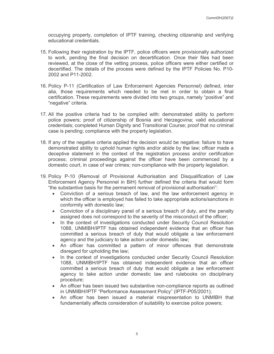occupying property, completion of IPTF training, checking citizenship and verifying educational credentials.

- 15. Following their registration by the IPTF, police officers were provisionally authorized to work, pending the final decision on decertification. Once their files had been reviewed, at the close of the vetting process, police officers were either certified or decertified. The details of the process were defined by the IPTF Policies No. P10-2002 and P11-2002.
- 16. Policy P-11 (Certification of Law Enforcement Agencies Personnel) defined, inter alia, those requirements which needed to be met in order to obtain a final certification. These requirements were divided into two groups, namely "positive" and "negative" criteria.
- 17. All the positive criteria had to be complied with: demonstrated ability to perform police powers; proof of citizenship of Bosnia and Herzegovina; valid educational credentials; completed Human Dignity and Transitional Course; proof that no criminal case is pending; compliance with the property legislation.
- 18. If any of the negative criteria applied the decision would be negative: failure to have demonstrated ability to uphold human rights and/or abide by the law; officer made a deceptive statement in the context of the registration process and/or certification process; criminal proceedings against the officer have been commenced by a domestic court, in case of war crimes; non-compliance with the property legislation.
- 19. Policy P-10 (Removal of Provisional Authorisation and Disqualification of Law Enforcement Agency Personnel in BiH) further defined the criteria that would form "the substantive basis for the permanent removal of provisional authorisation":
	- Conviction of a serious breach of law, and the law enforcement agency in which the officer is employed has failed to take appropriate actions/sanctions in conformity with domestic law;
	- Conviction of a disciplinary panel of a serious breach of duty, and the penalty assigned does not correspond to the severity of the misconduct of the officer;
	- In the context of investigations conducted under Security Council Resolution 1088, UNMIBH/IPTF has obtained independent evidence that an officer has committed a serious breach of duty that would obligate a law enforcement agency and the judiciary to take action under domestic law;
	- An officer has committed a pattern of minor offences that demonstrate disregard for upholding the law;
	- In the context of investigations conducted under Security Council Resolution 1088, UNMIBH/IPTF has obtained independent evidence that an officer committed a serious breach of duty that would obligate a law enforcement agency to take action under domestic law and rulebooks on disciplinary procedure:
	- An officer has been issued two substantive non-compliance reports as outlined in UNMIBH/IPTF "Performance Assessment Policy" (IPTF-P05/2001);
	- An officer has been issued a material mispresentation to UNMIBH that fundamentally affects consideration of suitability to exercise police powers;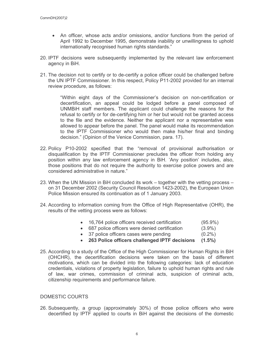- An officer, whose acts and/or omissions, and/or functions from the period of April 1992 to December 1995, demonstrate inability or unwillingness to uphold internationally recognised human rights standards."
- 20. IPTF decisions were subsequently implemented by the relevant law enforcement agency in BiH.
- 21. The decision not to certify or to de-certify a police officer could be challenged before the UN IPTF Commissioner. In this respect, Policy P11-2002 provided for an internal review procedure, as follows:

"Within eight days of the Commissioner's decision on non-certification or decertification, an appeal could be lodged before a panel composed of UNMBIH staff members. The applicant could challenge the reasons for the refusal to certify or for de-certifying him or her but would not be granted access to the file and the evidence. Neither the applicant nor a representative was allowed to appear before the panel. The panel would make its recommendation to the IPTF Commissioner who would then make his/her final and binding decision." (Opinion of the Venice Commission, para. 17).

- 22. Policy P10-2002 specified that the "removal of provisional authorisation or disqualification by the IPTF Commissioner precludes the officer from holding any position within any law enforcement agency in BiH. 'Any position' includes, also, those positions that do not require the authority to exercise police powers and are considered administrative in nature."
- 23. When the UN Mission in BiH concluded its work together with the vetting process on 31 December 2002 (Security Council Resolution 1423-2002), the European Union Police Mission ensured its continuation as of 1 January 2003.
- 24. According to information coming from the Office of High Representative (OHR), the results of the vetting process were as follows:
	- 16,764 police officers received certification  $(95.9\%)$
	- 687 police officers were denied certification  $(3.9\%)$
	- 37 police officers cases were pending  $(0.2\%)$
	- 263 Police officers challenged IPTF decisions (1.5%)
- 25. According to a study of the Office of the High Commissioner for Human Rights in BiH (OHCHR), the decertification decisions were taken on the basis of different motivations, which can be divided into the following categories: lack of education credentials, violations of property legislation, failure to uphold human rights and rule of law, war crimes, commission of criminal acts, suspicion of criminal acts, citizenship requirements and performance failure.

#### DOMESTIC COURTS

26. Subsequently, a group (approximately 30%) of those police officers who were decertified by IPTF applied to courts in BiH against the decisions of the domestic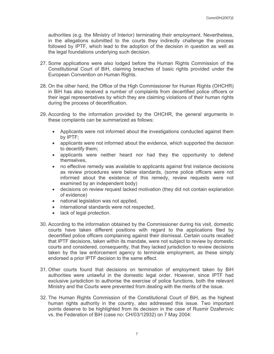authorities (e.g. the Ministry of Interior) terminating their employment. Nevertheless, in the allegations submitted to the courts they indirectly challenge the process followed by IPTF, which lead to the adoption of the decision in question as well as the legal foundations underlying such decision.

- 27. Some applications were also lodged before the Human Rights Commission of the Constitutional Court of BiH, claiming breaches of basic rights provided under the European Convention on Human Rights.
- 28. On the other hand, the Office of the High Commissioner for Human Rights (OHCHR) in BiH has also received a number of complaints from decertified police officers or their legal representatives by which they are claiming violations of their human rights during the process of decertification.
- 29. According to the information provided by the OHCHR, the general arguments in these complaints can be summarized as follows:
	- Applicants were not informed about the investigations conducted against them by IPTF;
	- applicants were not informed about the evidence, which supported the decision to decertify them;
	- applicants were neither heard nor had they the opportunity to defend themselves.
	- no effective remedy was available to applicants against first instance decisions as review procedures were below standards, (some police officers were not informed about the existence of this remedy, review requests were not examined by an independent body)
	- decisions on review request lacked motivation (they did not contain explanation of evidence)
	- national legislation was not applied,
	- international standards were not respected.
	- lack of legal protection.
- 30. According to the information obtained by the Commissioner during his visit, domestic courts have taken different positions with regard to the applications filed by decertified police officers complaining against their dismissal. Certain courts recalled that IPTF decisions, taken within its mandate, were not subject to review by domestic courts and considered, consequently, that they lacked jurisdiction to review decisions taken by the law enforcement agency to terminate employment, as these simply endorsed a prior IPTF decision to the same effect.
- 31. Other courts found that decisions on termination of employment taken by BiH authorities were unlawful in the domestic legal order. However, since IPTF had exclusive jurisdiction to authorise the exercise of police functions, both the relevant Ministry and the Courts were prevented from dealing with the merits of the issue.
- 32. The Human Rights Commission of the Constitutional Court of BiH, as the highest human rights authority in the country, also addressed this issue. Two important points deserve to be highlighted from its decision in the case of Rusmir Dzaferovic vs. the Federation of BiH (case no: CH/03/12932) on 7 May 2004: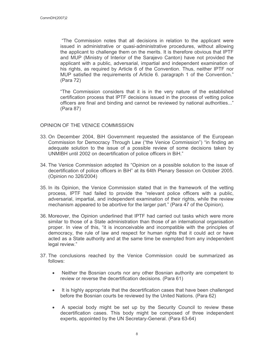"The Commission notes that all decisions in relation to the applicant were issued in administrative or quasi-administrative procedures, without allowing the applicant to challenge them on the merits. It is therefore obvious that IPTF and MUP (Ministry of Interior of the Sarajevo Canton) have not provided the applicant with a public, adversarial, impartial and independent examination of his rights, as required by Article 6 of the Convention. Thus, neither IPTF nor MUP satisfied the requirements of Article 6. paragraph 1 of the Convention." (Para 72)

"The Commission considers that it is in the very nature of the established certification process that IPTF decisions issued in the process of vetting police officers are final and binding and cannot be reviewed by national authorities..." (Para 87)

## OPINION OF THE VENICE COMMISSION

- 33. On December 2004, BiH Government requested the assistance of the European Commission for Democracy Through Law ("the Venice Commission") "in finding an adequate solution to the issue of a possible review of some decisions taken by UNMIBH until 2002 on decertification of police officers in BiH."
- 34. The Venice Commission adopted its "Opinion on a possible solution to the issue of decertification of police officers in BiH" at its 64th Plenary Session on October 2005. (Opinion no 326/2004)
- 35. In its Opinion, the Venice Commission stated that in the framework of the vetting process, IPTF had failed to provide the "relevant police officers with a public, adversarial, impartial, and independent examination of their rights, while the review mechanism appeared to be abortive for the larger part." (Para 47 of the Opinion).
- 36. Moreover, the Opinion underlined that IPTF had carried out tasks which were more similar to those of a State administration than those of an international organisation proper. In view of this, "it is inconceivable and incompatible with the principles of democracy, the rule of law and respect for human rights that it could act or have acted as a State authority and at the same time be exempted from any independent legal review."
- 37. The conclusions reached by the Venice Commission could be summarized as follows:
	- Neither the Bosnian courts nor any other Bosnian authority are competent to  $\bullet$ review or reverse the decertification decisions. (Para 61)
	- It is highly appropriate that the decertification cases that have been challenged  $\bullet$ before the Bosnian courts be reviewed by the United Nations. (Para 62)
	- A special body might be set up by the Security Council to review these  $\bullet$ decertification cases. This body might be composed of three independent experts, appointed by the UN Secretary-General. (Para 63-64)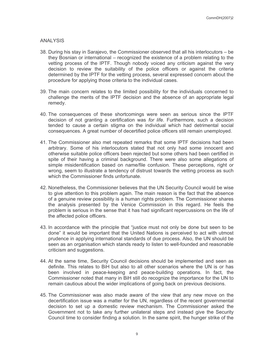#### **ANALYSIS**

- 38. During his stay in Sarajevo, the Commissioner observed that all his interlocutors be they Bosnian or international – recognized the existence of a problem relating to the vetting process of the IPTF. Though nobody voiced any criticism against the very decision to review the suitability of the police officers or against the criteria determined by the IPTF for the vetting process, several expressed concern about the procedure for applying those criteria to the individual cases.
- 39. The main concern relates to the limited possibility for the individuals concerned to challenge the merits of the IPTF decision and the absence of an appropriate legal remedy.
- 40. The consequences of these shortcomings were seen as serious since the IPTF decision of not granting a certification was for life. Furthermore, such a decision tended to cause a certain stigma on the individual which had detrimental social consequences. A great number of decertified police officers still remain unemployed.
- 41. The Commissioner also met repeated remarks that some IPTF decisions had been arbitrary. Some of his interlocutors stated that not only had some innocent and otherwise suitable police officers been rejected but some others had been certified in spite of their having a criminal background. There were also some allegations of simple misidentification based on name/file confusion. These perceptions, right or wrong, seem to illustrate a tendency of distrust towards the vetting process as such which the Commissioner finds unfortunate
- 42. Nonetheless, the Commissioner believes that the UN Security Council would be wise to give attention to this problem again. The main reason is the fact that the absence of a genuine review possibility is a human rights problem. The Commissioner shares the analysis presented by the Venice Commission in this regard. He feels the problem is serious in the sense that it has had significant repercussions on the life of the affected police officers.
- 43. In accordance with the principle that "justice must not only be done but seen to be done" it would be important that the United Nations is perceived to act with utmost prudence in applying international standards of due process. Also, the UN should be seen as an organisation which stands ready to listen to well-founded and reasonable criticism and suggestions.
- 44. At the same time. Security Council decisions should be implemented and seen as definite. This relates to BiH but also to all other scenarios where the UN is or has been involved in peace-keeping and peace-building operations. In fact, the Commissioner noted that many in BiH still do recognize the importance for the UN to remain cautious about the wider implications of going back on previous decisions.
- 45. The Commissioner was also made aware of the view that any new move on the decertification issue was a matter for the UN, regardless of the recent governmental decision to set up a domestic review mechanism. The Commissioner asked the Government not to take any further unilateral steps and instead give the Security Council time to consider finding a solution. In the same spirit, the hunger strike of the